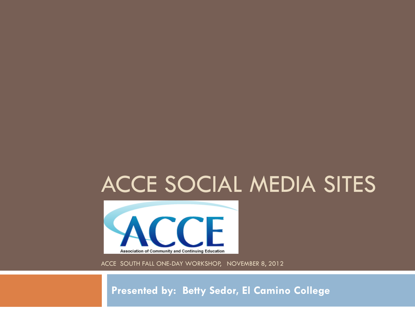### ACCE SOCIAL MEDIA SITES



ACCE SOUTH FALL ONE-DAY WORKSHOP, NOVEMBER 8, 2012

**Presented by: Betty Sedor, El Camino College**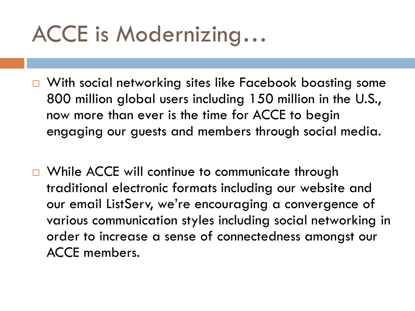# ACCE is Modernizing…

- □ With social networking sites like Facebook boasting some 800 million global users including 150 million in the U.S., now more than ever is the time for ACCE to begin engaging our guests and members through social media.
- □ While ACCE will continue to communicate through traditional electronic formats including our website and our email ListServ, we're encouraging a convergence of various communication styles including social networking in order to increase a sense of connectedness amongst our ACCE members.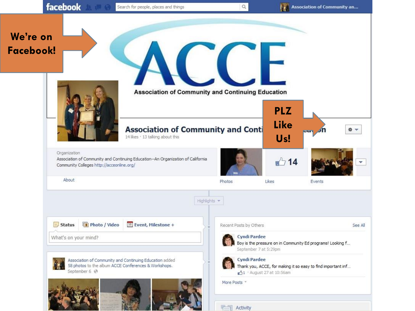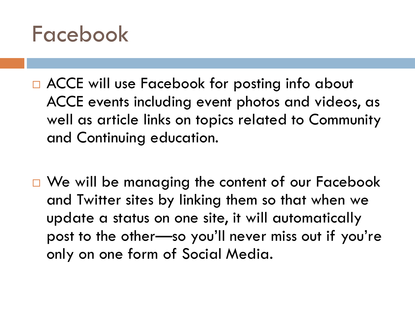## Facebook

- □ ACCE will use Facebook for posting info about ACCE events including event photos and videos, as well as article links on topics related to Community and Continuing education.
- □ We will be managing the content of our Facebook and Twitter sites by linking them so that when we update a status on one site, it will automatically post to the other—so you'll never miss out if you're only on one form of Social Media.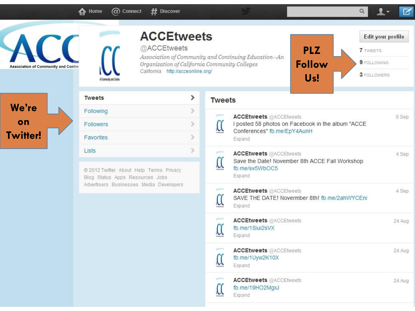$\bigoplus$  Home

 $@$  Connect  $#$  Discover



| <b>Association of Community and Contin</b> | <b>ACCEtweets</b><br>@ACCEtweets<br>California http://acceonline.org/<br>of Conmunity and Continu                              |                       | Edit your profile<br><b>PLZ</b><br><b>7</b> TWEETS<br>Association of Community and Continuing Education--An<br>9 FOLLOWING<br><b>Follow</b><br>Organization of California Community Colleges<br>3 FOLLOWERS<br>U <sub>s</sub> ! |
|--------------------------------------------|--------------------------------------------------------------------------------------------------------------------------------|-----------------------|---------------------------------------------------------------------------------------------------------------------------------------------------------------------------------------------------------------------------------|
|                                            | <b>Tweets</b>                                                                                                                  | $\blacktriangleright$ | <b>Tweets</b>                                                                                                                                                                                                                   |
| We're<br>on<br>witter!                     | Following                                                                                                                      | ×                     | <b>STATISTICS</b><br><b>ACCEtweets @ACCEtweets</b><br>6 Sep                                                                                                                                                                     |
|                                            | Followers                                                                                                                      | $\left( \right.$      | $\alpha$<br>I posted 58 photos on Facebook in the album "ACCE<br>Conferences" fb.me/EpY4AunH                                                                                                                                    |
|                                            | Favorites                                                                                                                      | S.                    | Expand                                                                                                                                                                                                                          |
|                                            | Lists<br>@ 2012 Twitter About Help Terms Privacy<br>Blog Status Apps Resources Jobs<br>Advertisers Businesses Media Developers |                       | <b>Service</b><br><b>ACCEtweets @ACCEtweets</b><br>4 Sep<br>$\operatorname{\mathcal{C}}$<br>Save the Date! November 8th ACCE Fall Workshop<br>fb.me/sv5WbOC5<br>Expand                                                          |
|                                            |                                                                                                                                |                       | gamma.<br><b>ACCEtweets</b> @ACCEtweets<br>4 Sep<br>$\mathfrak{C}$<br>SAVE THE DATE! Novermber 8th! fb.me/2ahWYCEni<br>Expand                                                                                                   |
|                                            |                                                                                                                                |                       | games<br><b>ACCEtweets</b> @ACCEtweets<br>24 Aug<br>$\alpha$<br>fb.me/1Siui2sVX<br>Expand                                                                                                                                       |
|                                            |                                                                                                                                |                       | gamma.<br><b>ACCEtweets @ACCEtweets</b><br>24 Aug<br>$\mathfrak{C}$<br>fb.me/1Uyw2K10X<br>Expand                                                                                                                                |
|                                            |                                                                                                                                |                       | gamma.<br><b>ACCEtweets @ACCEtweets</b><br>24 Aug<br>$\mathfrak{C}$<br>fb.me/19HO2MgxJ<br>Expand                                                                                                                                |
|                                            |                                                                                                                                |                       |                                                                                                                                                                                                                                 |

 $\mathcal{G}$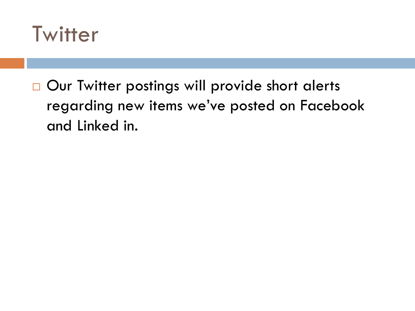

□ Our Twitter postings will provide short alerts regarding new items we've posted on Facebook and Linked in.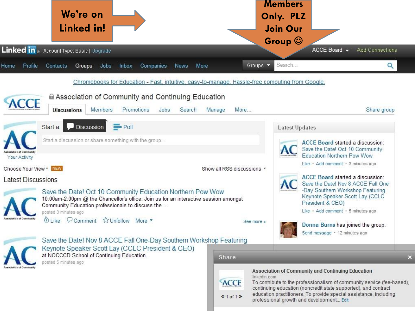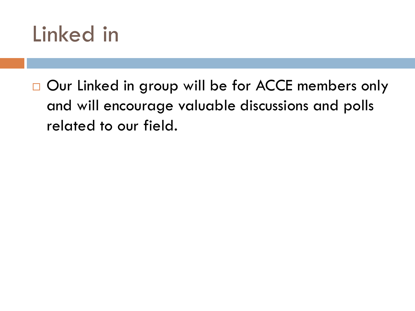## Linked in

□ Our Linked in group will be for ACCE members only and will encourage valuable discussions and polls related to our field.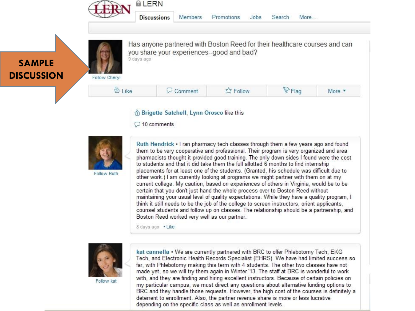

**Members Discussions** 

Flag

More \*

### **SAMPLE DISCUSSION**



Has anyone partnered with Boston Reed for their healthcare courses and can you share your experiences--good and bad?

Follow Chervl



S Brigette Satchell, Lynn Orosco like this

 $\bigcirc$  10 comments



Follow Ruth

Ruth Hendrick • I ran pharmacy tech classes through them a few years ago and found them to be very cooperative and professional. Their program is very organized and area pharmacists thought it provided good training. The only down sides I found were the cost to students and that it did take them the full allotted 6 months to find internship placements for at least one of the students. (Granted, his schedule was difficult due to other work.) I am currently looking at programs we might partner with them on at my current college. My caution, based on experiences of others in Virginia, would be to be certain that you don't just hand the whole process over to Boston Reed without maintaining your usual level of quality expectations. While they have a quality program, I think it still needs to be the job of the college to screen instructors, orient applicants, counsel students and follow up on classes. The relationship should be a partnership, and Boston Reed worked very well as our partner.

8 days ago . Like



Follow kat

kat cannella . We are currently partnered with BRC to offer Phlebotomy Tech, EKG Tech, and Electronic Health Records Specialist (EHRS). We have had limited success so far, with Phlebotomy making this term with 4 students. The other two classes have not made yet, so we will try them again in Winter '13. The staff at BRC is wonderful to work with, and they are finding and hiring excellent instructors. Because of certain policies on my particular campus, we must direct any questions about alternative funding options to BRC and they handle those requests. However, the high cost of the courses is definitely a deterrent to enrollment. Also, the partner revenue share is more or less lucrative depending on the specific class as well as enrollment levels.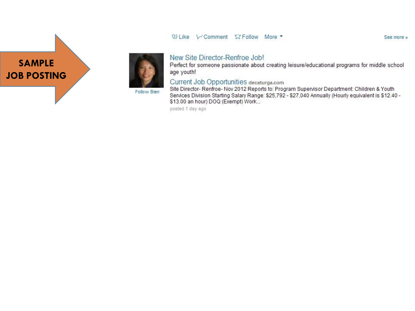#### **Wilke V-Comment L7 Follow More ▼**

**SAMPLE JOB POSTING** 



#### New Site Director-Renfroe Job!

Perfect for someone passionate about creating leisure/educational programs for middle school age youth!

#### Current Job Opportunities decaturga.com

Follow Bien

Site Director-Renfroe-Nov 2012 Reports to: Program Supervisor Department: Children & Youth Services Division Starting Salary Range: \$25,792 - \$27,040 Annually (Hourly equivalent is \$12.40 -\$13.00 an hour) DOQ (Exempt) Work...

posted 1 day ago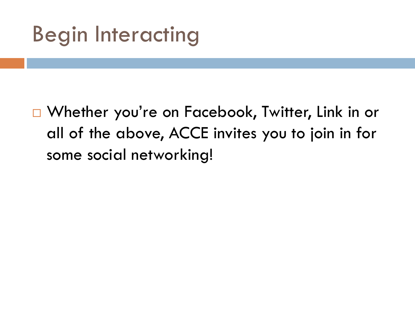# Begin Interacting

□ Whether you're on Facebook, Twitter, Link in or all of the above, ACCE invites you to join in for some social networking!